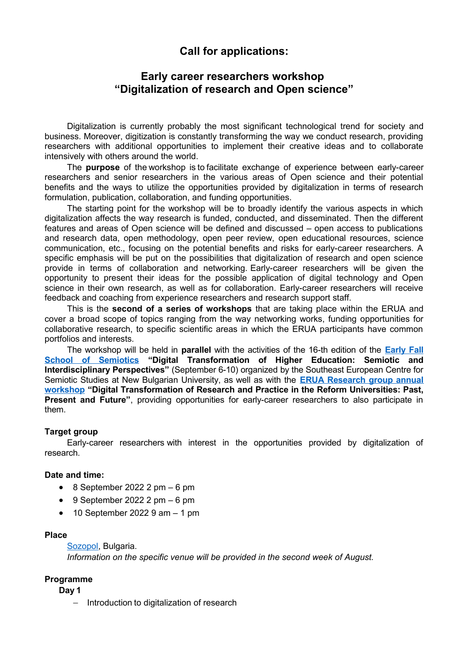# **Call for applications:**

## **Early career researchers workshop "Digitalization of research and Open science"**

Digitalization is currently probably the most significant technological trend for society and business. Moreover, digitization is constantly transforming the way we conduct research, providing researchers with additional opportunities to implement their creative ideas and to collaborate intensively with others around the world.

The **purpose** of the workshop is to facilitate exchange of experience between early-career researchers and senior researchers in the various areas of Open science and their potential benefits and the ways to utilize the opportunities provided by digitalization in terms of research formulation, publication, collaboration, and funding opportunities. 

The starting point for the workshop will be to broadly identify the various aspects in which digitalization affects the way research is funded, conducted, and disseminated. Then the different features and areas of Open science will be defined and discussed – open access to publications and research data, open methodology, open peer review, open educational resources, science communication, etc., focusing on the potential benefits and risks for early-career researchers. A specific emphasis will be put on the possibilities that digitalization of research and open science provide in terms of collaboration and networking. Early-career researchers will be given the opportunity to present their ideas for the possible application of digital technology and Open science in their own research, as well as for collaboration. Early-career researchers will receive feedback and coaching from experience researchers and research support staff.

This is the **second of a series of workshops** that are taking place within the ERUA and cover a broad scope of topics ranging from the way networking works, funding opportunities for collaborative research, to specific scientific areas in which the ERUA participants have common portfolios and interests.

The workshop will be held in **parallel** with the activities of the 16-th edition of the **[Early Fall](https://semiotics.nbu.bg/en/early-fall-school-of-semiotics-efss) [School of Semiotics](https://semiotics.nbu.bg/en/early-fall-school-of-semiotics-efss) "Digital Transformation of Higher Education: Semiotic and Interdisciplinary Perspectives"** (September 6-10) organized by the Southeast European Centre for Semiotic Studies at New Bulgarian University, as well as with the **[ERUA Research group annual](https://erua-eui.eu/events-calendar/participating-in-and-creating-scientific-networks-workshop-for-early-career-researchers-164/) [workshop](https://erua-eui.eu/events-calendar/participating-in-and-creating-scientific-networks-workshop-for-early-career-researchers-164/) "Digital Transformation of Research and Practice in the Reform Universities: Past, Present and Future"**, providing opportunities for early-career researchers to also participate in them.

## **Target group**

Early-career researchers with interest in the opportunities provided by digitalization of research.

#### **Date and time:**

- $\bullet$  8 September 2022 2 pm  $-6$  pm
- $\bullet$  9 September 2022 2 pm  $-6$  pm
- $\bullet$  10 September 2022 9 am  $-$  1 pm

#### **Place**

[Sozopol,](https://bulgariatravel.org/sozopol/) Bulgaria.

*Information on the specific venue will be provided in the second week of August.*

#### **Programme**

**Day 1**

- Introduction to digitalization of research